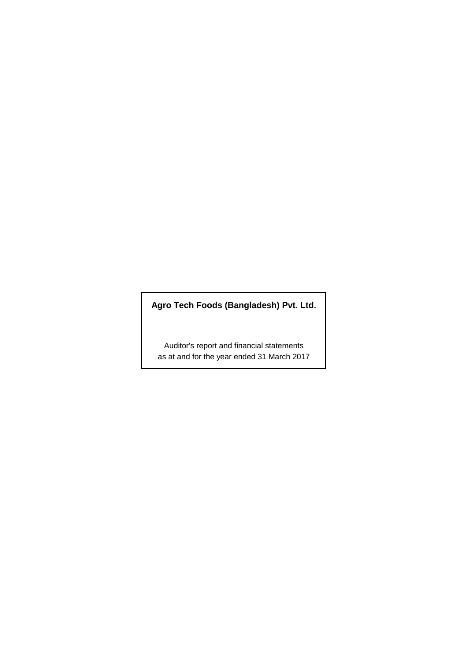# **Agro Tech Foods (Bangladesh) Pvt. Ltd.**

Auditor's report and financial statements as at and for the year ended 31 March 2017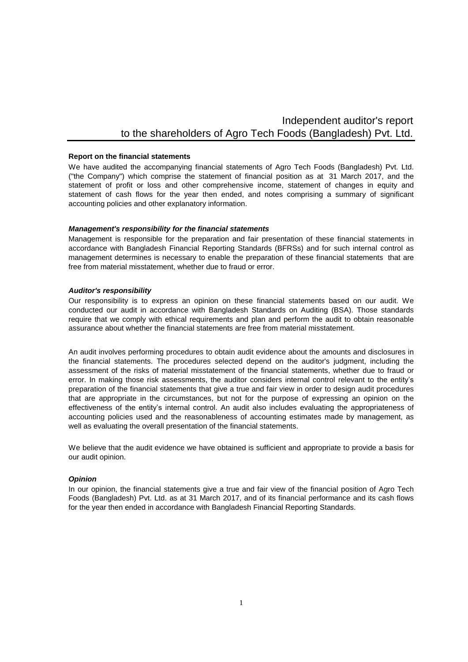# Independent auditor's report to the shareholders of Agro Tech Foods (Bangladesh) Pvt. Ltd.

#### **Report on the financial statements**

We have audited the accompanying financial statements of Agro Tech Foods (Bangladesh) Pvt. Ltd. ("the Company") which comprise the statement of financial position as at 31 March 2017, and the statement of profit or loss and other comprehensive income, statement of changes in equity and statement of cash flows for the year then ended, and notes comprising a summary of significant accounting policies and other explanatory information.

#### *Management's responsibility for the financial statements*

Management is responsible for the preparation and fair presentation of these financial statements in accordance with Bangladesh Financial Reporting Standards (BFRSs) and for such internal control as management determines is necessary to enable the preparation of these financial statements that are free from material misstatement, whether due to fraud or error.

#### *Auditor's responsibility*

Our responsibility is to express an opinion on these financial statements based on our audit. We conducted our audit in accordance with Bangladesh Standards on Auditing (BSA). Those standards require that we comply with ethical requirements and plan and perform the audit to obtain reasonable assurance about whether the financial statements are free from material misstatement.

An audit involves performing procedures to obtain audit evidence about the amounts and disclosures in the financial statements. The procedures selected depend on the auditor's judgment, including the assessment of the risks of material misstatement of the financial statements, whether due to fraud or error. In making those risk assessments, the auditor considers internal control relevant to the entity's preparation of the financial statements that give a true and fair view in order to design audit procedures that are appropriate in the circumstances, but not for the purpose of expressing an opinion on the effectiveness of the entity's internal control. An audit also includes evaluating the appropriateness of accounting policies used and the reasonableness of accounting estimates made by management, as well as evaluating the overall presentation of the financial statements.

We believe that the audit evidence we have obtained is sufficient and appropriate to provide a basis for our audit opinion.

#### *Opinion*

In our opinion, the financial statements give a true and fair view of the financial position of Agro Tech Foods (Bangladesh) Pvt. Ltd. as at 31 March 2017, and of its financial performance and its cash flows for the year then ended in accordance with Bangladesh Financial Reporting Standards.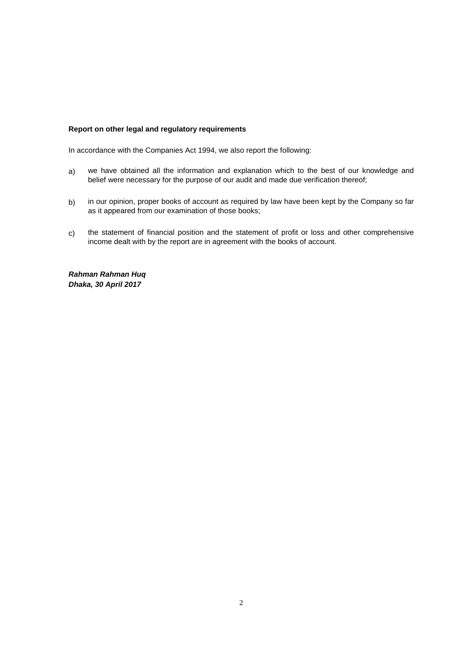# **Report on other legal and regulatory requirements**

In accordance with the Companies Act 1994, we also report the following:

- a) we have obtained all the information and explanation which to the best of our knowledge and belief were necessary for the purpose of our audit and made due verification thereof;
- b) in our opinion, proper books of account as required by law have been kept by the Company so far as it appeared from our examination of those books;
- c) the statement of financial position and the statement of profit or loss and other comprehensive income dealt with by the report are in agreement with the books of account.

*Rahman Rahman Huq Dhaka, 30 April 2017*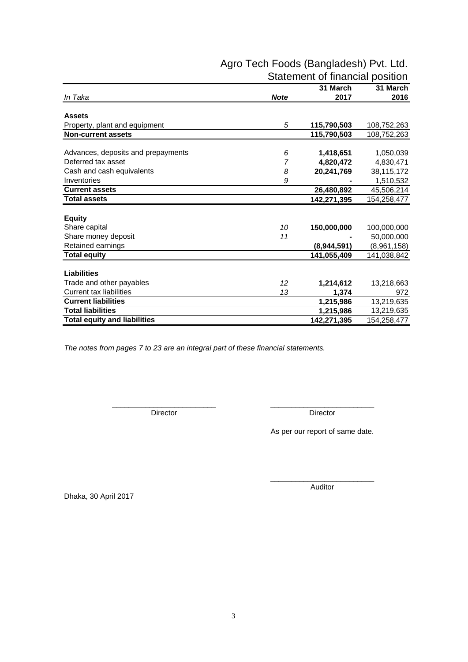|                                     |             | 31 March    | 31 March    |
|-------------------------------------|-------------|-------------|-------------|
| In Taka                             | <b>Note</b> | 2017        | 2016        |
|                                     |             |             |             |
| <b>Assets</b>                       |             |             |             |
| Property, plant and equipment       | 5           | 115,790,503 | 108,752,263 |
| <b>Non-current assets</b>           |             | 115,790,503 | 108,752,263 |
| Advances, deposits and prepayments  | 6           | 1,418,651   | 1,050,039   |
| Deferred tax asset                  | 7           |             |             |
|                                     |             | 4,820,472   | 4,830,471   |
| Cash and cash equivalents           | 8           | 20,241,769  | 38,115,172  |
| Inventories                         | 9           |             | 1,510,532   |
| <b>Current assets</b>               |             | 26,480,892  | 45,506,214  |
| <b>Total assets</b>                 |             | 142,271,395 | 154,258,477 |
|                                     |             |             |             |
| <b>Equity</b>                       |             |             |             |
| Share capital                       | 10          | 150,000,000 | 100,000,000 |
| Share money deposit                 | 11          |             | 50,000,000  |
| Retained earnings                   |             | (8,944,591) | (8,961,158) |
| <b>Total equity</b>                 |             | 141,055,409 | 141,038,842 |
|                                     |             |             |             |
| <b>Liabilities</b>                  |             |             |             |
| Trade and other payables            | 12          | 1,214,612   | 13,218,663  |
| <b>Current tax liabilities</b>      | 13          | 1,374       | 972         |
| <b>Current liabilities</b>          |             | 1,215,986   | 13,219,635  |
| <b>Total liabilities</b>            |             | 1,215,986   | 13,219,635  |
| <b>Total equity and liabilities</b> |             | 142,271,395 | 154,258,477 |

\_\_\_\_\_\_\_\_\_\_\_\_\_\_\_\_\_\_\_\_\_\_\_\_\_ \_\_\_\_\_\_\_\_\_\_\_\_\_\_\_\_\_\_\_\_\_\_\_\_\_

# Agro Tech Foods (Bangladesh) Pvt. Ltd. Statement of financial position

*The notes from pages 7 to 23 are an integral part of these financial statements.*

Director Director Director

As per our report of same date.

Dhaka, 30 April 2017

\_\_\_\_\_\_\_\_\_\_\_\_\_\_\_\_\_\_\_\_\_\_\_\_\_ Auditor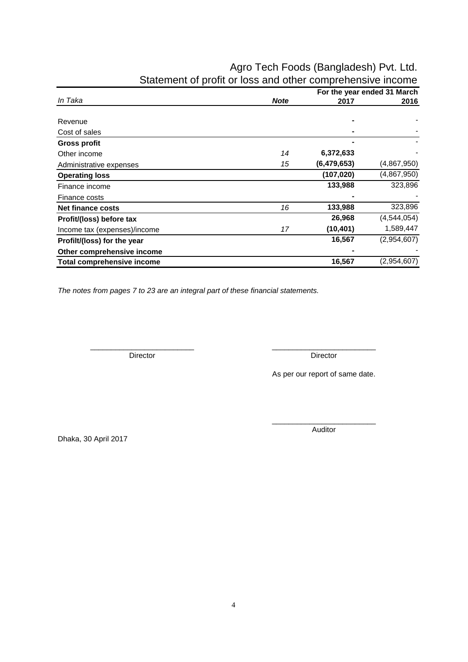# Agro Tech Foods (Bangladesh) Pvt. Ltd. Statement of profit or loss and other comprehensive income

|                                   |             |             | For the year ended 31 March |
|-----------------------------------|-------------|-------------|-----------------------------|
| In Taka                           | <b>Note</b> | 2017        | 2016                        |
|                                   |             |             |                             |
| Revenue                           |             |             |                             |
| Cost of sales                     |             |             |                             |
| <b>Gross profit</b>               |             |             |                             |
| Other income                      | 14          | 6,372,633   |                             |
| Administrative expenses           | 15          | (6,479,653) | (4,867,950)                 |
| <b>Operating loss</b>             |             | (107, 020)  | (4,867,950)                 |
| Finance income                    |             | 133,988     | 323,896                     |
| Finance costs                     |             |             |                             |
| <b>Net finance costs</b>          | 16          | 133,988     | 323,896                     |
| Profit/(loss) before tax          |             | 26,968      | (4, 544, 054)               |
| Income tax (expenses)/income      | 17          | (10, 401)   | 1,589,447                   |
| Profilt/(loss) for the year       |             | 16,567      | (2,954,607)                 |
| Other comprehensive income        |             |             |                             |
| <b>Total comprehensive income</b> |             | 16,567      | (2,954,607)                 |

*The notes from pages 7 to 23 are an integral part of these financial statements.*

Director **Director** Director

\_\_\_\_\_\_\_\_\_\_\_\_\_\_\_\_\_\_\_\_\_\_\_\_\_ \_\_\_\_\_\_\_\_\_\_\_\_\_\_\_\_\_\_\_\_\_\_\_\_\_

As per our report of same date.

\_\_\_\_\_\_\_\_\_\_\_\_\_\_\_\_\_\_\_\_\_\_\_\_\_ Auditor

Dhaka, 30 April 2017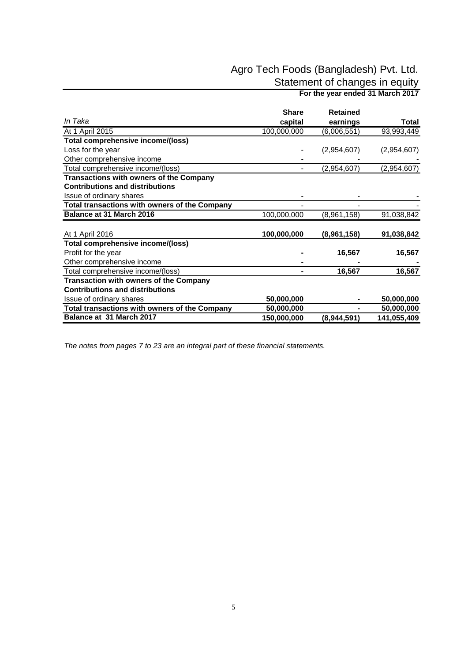# Agro Tech Foods (Bangladesh) Pvt. Ltd.

Statement of changes in equity

 **For the year ended 31 March 2017** 

|                                                      | <b>Share</b> | <b>Retained</b> |             |
|------------------------------------------------------|--------------|-----------------|-------------|
| In Taka                                              | capital      | earnings        | Total       |
| At 1 April 2015                                      | 100,000,000  | (6,006,551)     | 93,993,449  |
| <b>Total comprehensive income/(loss)</b>             |              |                 |             |
| Loss for the year                                    |              | (2,954,607)     | (2,954,607) |
| Other comprehensive income                           |              |                 |             |
| Total comprehensive income/(loss)                    |              | (2,954,607)     | (2,954,607) |
| Transactions with owners of the Company              |              |                 |             |
| <b>Contributions and distributions</b>               |              |                 |             |
| Issue of ordinary shares                             |              |                 |             |
| <b>Total transactions with owners of the Company</b> |              |                 |             |
| Balance at 31 March 2016                             | 100,000,000  | (8,961,158)     | 91,038,842  |
| At 1 April 2016                                      | 100,000,000  | (8,961,158)     | 91,038,842  |
| Total comprehensive income/(loss)                    |              |                 |             |
| Profit for the year                                  |              | 16,567          | 16,567      |
| Other comprehensive income                           |              |                 |             |
| Total comprehensive income/(loss)                    |              | 16,567          | 16,567      |
| <b>Transaction with owners of the Company</b>        |              |                 |             |
| <b>Contributions and distributions</b>               |              |                 |             |
| Issue of ordinary shares                             | 50,000,000   |                 | 50,000,000  |
| Total transactions with owners of the Company        | 50,000,000   |                 | 50,000,000  |
| Balance at 31 March 2017                             | 150,000,000  | (8,944,591)     | 141,055,409 |

*The notes from pages 7 to 23 are an integral part of these financial statements.*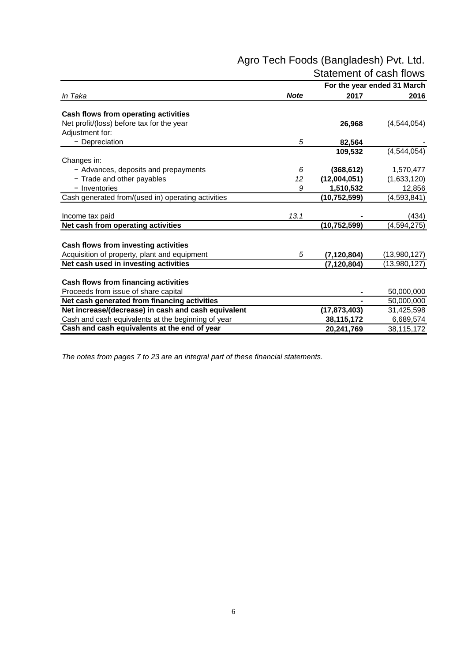# Agro Tech Foods (Bangladesh) Pvt. Ltd. Statement of cash flows

|                                                     |             |                | For the year ended 31 March |
|-----------------------------------------------------|-------------|----------------|-----------------------------|
| In Taka                                             | <b>Note</b> | 2017           | 2016                        |
| Cash flows from operating activities                |             |                |                             |
| Net profit/(loss) before tax for the year           |             | 26,968         | (4,544,054)                 |
| Adjustment for:                                     |             |                |                             |
| - Depreciation                                      | 5           | 82,564         |                             |
|                                                     |             | 109,532        | (4,544,054)                 |
| Changes in:                                         |             |                |                             |
| - Advances, deposits and prepayments                | 6           | (368, 612)     | 1,570,477                   |
| - Trade and other payables                          | 12          | (12,004,051)   | (1,633,120)                 |
| - Inventories                                       | 9           | 1,510,532      | 12,856                      |
| Cash generated from/(used in) operating activities  |             | (10, 752, 599) | (4, 593, 841)               |
|                                                     |             |                |                             |
| Income tax paid                                     | 13.1        |                | (434)                       |
| Net cash from operating activities                  |             | (10, 752, 599) | (4, 594, 275)               |
| Cash flows from investing activities                |             |                |                             |
| Acquisition of property, plant and equipment        | 5           | (7, 120, 804)  | (13,980,127)                |
| Net cash used in investing activities               |             | (7, 120, 804)  | (13,980,127)                |
|                                                     |             |                |                             |
| Cash flows from financing activities                |             |                |                             |
| Proceeds from issue of share capital                |             |                | 50,000,000                  |
| Net cash generated from financing activities        |             |                | 50,000,000                  |
| Net increase/(decrease) in cash and cash equivalent |             | (17, 873, 403) | 31,425,598                  |
| Cash and cash equivalents at the beginning of year  |             | 38,115,172     | 6,689,574                   |
| Cash and cash equivalents at the end of year        |             | 20,241,769     | 38,115,172                  |

*The notes from pages 7 to 23 are an integral part of these financial statements.*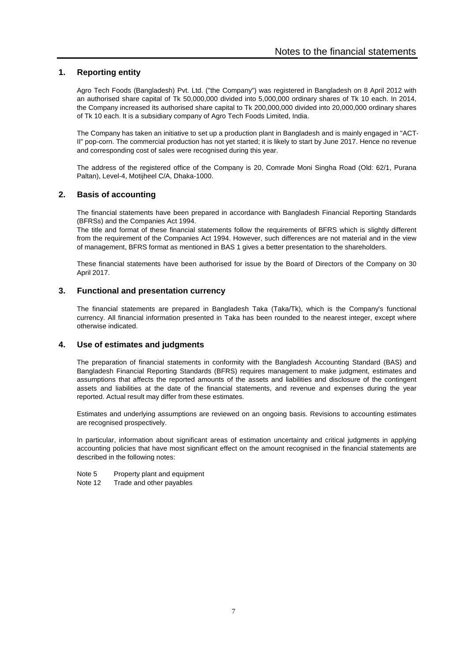# **1. Reporting entity**

Agro Tech Foods (Bangladesh) Pvt. Ltd. ("the Company") was registered in Bangladesh on 8 April 2012 with an authorised share capital of Tk 50,000,000 divided into 5,000,000 ordinary shares of Tk 10 each. In 2014, the Company increased its authorised share capital to Tk 200,000,000 divided into 20,000,000 ordinary shares of Tk 10 each. It is a subsidiary company of Agro Tech Foods Limited, India.

The Company has taken an initiative to set up a production plant in Bangladesh and is mainly engaged in "ACT-II" pop-corn. The commercial production has not yet started; it is likely to start by June 2017. Hence no revenue and corresponding cost of sales were recognised during this year.

The address of the registered office of the Company is 20, Comrade Moni Singha Road (Old: 62/1, Purana Paltan), Level-4, Motijheel C/A, Dhaka-1000.

### **2. Basis of accounting**

The financial statements have been prepared in accordance with Bangladesh Financial Reporting Standards (BFRSs) and the Companies Act 1994.

The title and format of these financial statements follow the requirements of BFRS which is slightly different from the requirement of the Companies Act 1994. However, such differences are not material and in the view of management, BFRS format as mentioned in BAS 1 gives a better presentation to the shareholders.

These financial statements have been authorised for issue by the Board of Directors of the Company on 30 April 2017.

### **3. Functional and presentation currency**

The financial statements are prepared in Bangladesh Taka (Taka/Tk), which is the Company's functional currency. All financial information presented in Taka has been rounded to the nearest integer, except where otherwise indicated.

### **4. Use of estimates and judgments**

The preparation of financial statements in conformity with the Bangladesh Accounting Standard (BAS) and Bangladesh Financial Reporting Standards (BFRS) requires management to make judgment, estimates and assumptions that affects the reported amounts of the assets and liabilities and disclosure of the contingent assets and liabilities at the date of the financial statements, and revenue and expenses during the year reported. Actual result may differ from these estimates.

Estimates and underlying assumptions are reviewed on an ongoing basis. Revisions to accounting estimates are recognised prospectively.

In particular, information about significant areas of estimation uncertainty and critical judgments in applying accounting policies that have most significant effect on the amount recognised in the financial statements are described in the following notes:

Property plant and equipment Note 5

Trade and other payables Note 12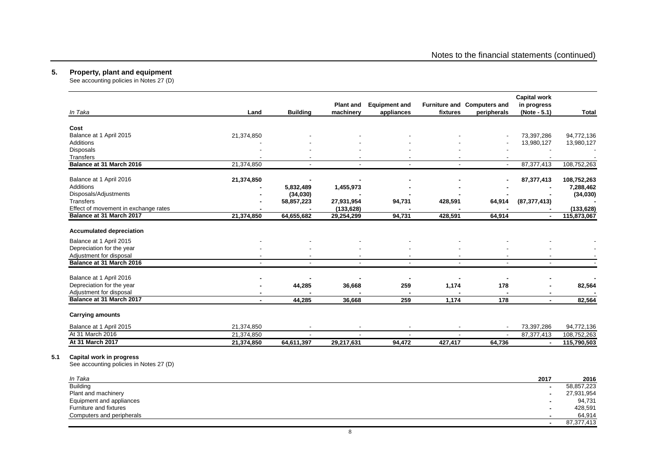#### **5. Property, plant and equipment**

**5.1 Capital work in progress**

See accounting policies in Notes 27 (D)

|                                                                     |                |                          | <b>Plant and</b> | <b>Equipment and</b>     |                | Furniture and Computers and | <b>Capital work</b><br>in progress |              |
|---------------------------------------------------------------------|----------------|--------------------------|------------------|--------------------------|----------------|-----------------------------|------------------------------------|--------------|
| In Taka                                                             | Land           | <b>Building</b>          | machinery        | appliances               | fixtures       | peripherals                 | (Note - 5.1)                       | <b>Total</b> |
| Cost                                                                |                |                          |                  |                          |                |                             |                                    |              |
| Balance at 1 April 2015                                             | 21,374,850     |                          |                  |                          |                |                             | 73,397,286                         | 94,772,136   |
| Additions                                                           |                |                          |                  |                          |                |                             | 13,980,127                         | 13,980,127   |
| Disposals                                                           |                |                          |                  |                          |                |                             |                                    |              |
| Transfers                                                           |                |                          |                  |                          |                |                             |                                    |              |
| Balance at 31 March 2016                                            | 21,374,850     | $\blacksquare$           |                  | $\overline{a}$           | $\blacksquare$ | $\sim$                      | 87, 377, 413                       | 108,752,263  |
| Balance at 1 April 2016                                             | 21,374,850     |                          |                  |                          |                |                             | 87,377,413                         | 108,752,263  |
| Additions                                                           | $\blacksquare$ | 5,832,489                | 1,455,973        |                          |                |                             |                                    | 7,288,462    |
| Disposals/Adjustments                                               |                | (34, 030)                |                  |                          |                |                             |                                    | (34, 030)    |
| Transfers                                                           |                | 58,857,223               | 27,931,954       | 94,731                   | 428,591        | 64,914                      | (87, 377, 413)                     |              |
| Effect of movement in exchange rates                                |                |                          | (133, 628)       |                          |                |                             |                                    | (133, 628)   |
| Balance at 31 March 2017                                            | 21,374,850     | 64,655,682               | 29,254,299       | 94,731                   | 428,591        | 64,914                      |                                    | 115,873,067  |
| <b>Accumulated depreciation</b>                                     |                |                          |                  |                          |                |                             |                                    |              |
| Balance at 1 April 2015                                             |                |                          |                  |                          |                |                             |                                    |              |
| Depreciation for the year                                           |                |                          |                  |                          |                |                             |                                    |              |
| Adjustment for disposal                                             |                |                          |                  | $\blacksquare$           |                |                             |                                    |              |
| Balance at 31 March 2016                                            |                | $\overline{\phantom{a}}$ |                  | $\blacksquare$           |                |                             | $\overline{\phantom{a}}$           |              |
| Balance at 1 April 2016                                             |                |                          |                  |                          |                |                             |                                    |              |
| Depreciation for the year                                           |                | 44,285                   | 36,668           | 259                      | 1,174          | 178                         |                                    | 82,564       |
| Adjustment for disposal                                             | ٠              |                          |                  | $\blacksquare$           | $\blacksquare$ |                             | ٠                                  |              |
| Balance at 31 March 2017                                            | $\blacksquare$ | 44,285                   | 36,668           | 259                      | 1,174          | 178                         | $\blacksquare$                     | 82,564       |
| <b>Carrying amounts</b>                                             |                |                          |                  |                          |                |                             |                                    |              |
| Balance at 1 April 2015                                             | 21,374,850     |                          |                  |                          |                |                             | 73,397,286                         | 94,772,136   |
| At 31 March 2016                                                    | 21,374,850     |                          |                  | $\overline{\phantom{a}}$ |                |                             | 87,377,413                         | 108,752,263  |
| At 31 March 2017                                                    | 21,374,850     | 64,611,397               | 29,217,631       | 94,472                   | 427,417        | 64,736                      |                                    | 115,790,503  |
| Capital work in progress<br>See accounting policies in Notes 27 (D) |                |                          |                  |                          |                |                             |                                    |              |
|                                                                     |                |                          |                  |                          |                |                             |                                    |              |
| In Taka                                                             |                |                          |                  |                          |                |                             | 2017                               | 2016         |

| ın ıaka                   | 2017                     | 2016       |
|---------------------------|--------------------------|------------|
| <b>Building</b>           | $\overline{\phantom{0}}$ | 58,857,223 |
| Plant and machinery       |                          | 27,931,954 |
| Equipment and appliances  |                          | 94,731     |
| Furniture and fixtures    | $\overline{\phantom{0}}$ | 428,591    |
| Computers and peripherals |                          | 64.914     |
|                           |                          | 87,377,413 |

8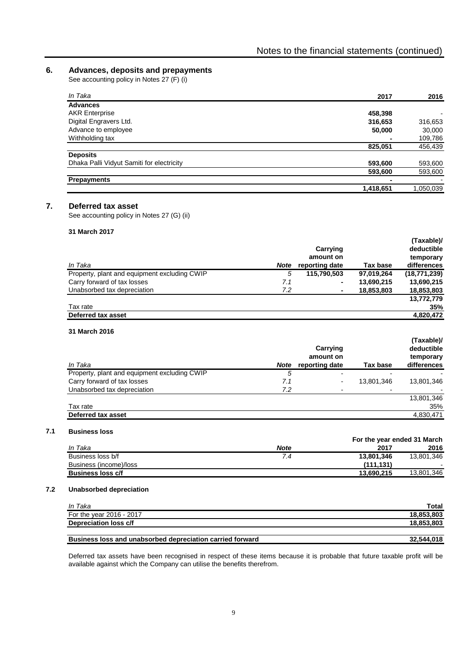# **6. Advances, deposits and prepayments**

See accounting policy in Notes 27 (F) (i)

| In Taka                                   | 2017      | 2016      |
|-------------------------------------------|-----------|-----------|
| <b>Advances</b>                           |           |           |
| <b>AKR Enterprise</b>                     | 458,398   |           |
| Digital Engravers Ltd.                    | 316,653   | 316,653   |
| Advance to employee                       | 50,000    | 30,000    |
| Withholding tax                           | ۰         | 109,786   |
|                                           | 825,051   | 456,439   |
| <b>Deposits</b>                           |           |           |
| Dhaka Palli Vidyut Samiti for electricity | 593,600   | 593,600   |
|                                           | 593,600   | 593,600   |
| <b>Prepayments</b>                        |           |           |
|                                           | 1,418,651 | 1,050,039 |

#### **7. Deferred tax asset**

See accounting policy in Notes 27 (G) (ii)

#### **31 March 2017**

| In Taka                                      | <b>Note</b> | Carrying<br>amount on<br>reporting date | Tax base   | (Taxable)/<br>deductible<br>temporary<br>differences |
|----------------------------------------------|-------------|-----------------------------------------|------------|------------------------------------------------------|
| Property, plant and equipment excluding CWIP | 5           | 115,790,503                             | 97,019,264 | (18,771,239)                                         |
| Carry forward of tax losses                  | 7.1         | $\blacksquare$                          | 13,690,215 | 13,690,215                                           |
| Unabsorbed tax depreciation                  | 7.2         | $\blacksquare$                          | 18,853,803 | 18,853,803                                           |
|                                              |             |                                         |            | 13,772,779                                           |
| Tax rate                                     |             |                                         |            | 35%                                                  |
| Deferred tax asset                           |             |                                         |            | 4,820,472                                            |

#### **31 March 2016**

| In Taka                                      | <b>Note</b> | Carrying<br>amount on<br>reporting date | Tax base   | (Taxable)/<br>deductible<br>temporary<br>differences |
|----------------------------------------------|-------------|-----------------------------------------|------------|------------------------------------------------------|
| Property, plant and equipment excluding CWIP | 5           | $\overline{\phantom{0}}$                |            |                                                      |
| Carry forward of tax losses                  | 7.1         | $\overline{\phantom{0}}$                | 13.801.346 | 13,801,346                                           |
| Unabsorbed tax depreciation                  | 7.2         |                                         |            |                                                      |
|                                              |             |                                         |            | 13,801,346                                           |
| Tax rate                                     |             |                                         |            | 35%                                                  |
| Deferred tax asset                           |             |                                         |            | 4,830,471                                            |

#### **7.1 Business loss**

| ,,,,,,,,,,,,,,,          |                             |            |            |  |  |
|--------------------------|-----------------------------|------------|------------|--|--|
|                          | For the year ended 31 March |            |            |  |  |
| In Taka                  | <b>Note</b>                 | 2017       | 2016       |  |  |
| Business loss b/f        | 7.4                         | 13.801.346 | 13,801,346 |  |  |
| Business (income)/loss   |                             | (111.131)  |            |  |  |
| <b>Business loss c/f</b> |                             | 13.690.215 | 13.801.346 |  |  |

#### **7.2 Unabsorbed depreciation**

| In Taka                  | Total           |
|--------------------------|-----------------|
| For the year 2016 - 2017 | .803<br>18.853. |
| Depreciation loss c/f    | .803<br>18.853. |
|                          |                 |

#### **Business loss and unabsorbed depreciation carried forward 32,544,018**

Deferred tax assets have been recognised in respect of these items because it is probable that future taxable profit will be available against which the Company can utilise the benefits therefrom.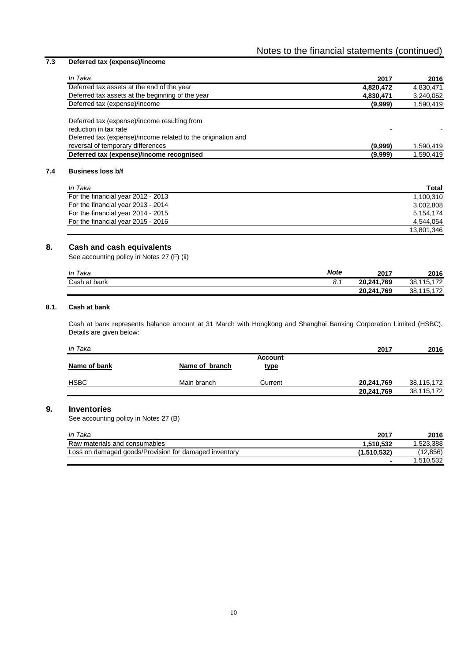# **7.3 Deferred tax (expense)/income**

| In Taka                                                                                                                                                                    | 2017      | 2016      |
|----------------------------------------------------------------------------------------------------------------------------------------------------------------------------|-----------|-----------|
| Deferred tax assets at the end of the year                                                                                                                                 | 4,820,472 | 4,830,471 |
| Deferred tax assets at the beginning of the year                                                                                                                           | 4,830,471 | 3,240,052 |
| Deferred tax (expense)/income                                                                                                                                              | (9,999)   | 1,590,419 |
| Deferred tax (expense)/income resulting from<br>reduction in tax rate<br>Deferred tax (expense)/income related to the origination and<br>reversal of temporary differences | (9,999)   | 1,590,419 |
| Deferred tax (expense)/income recognised                                                                                                                                   | (9,999)   | 1,590,419 |

# **7.4 Business loss b/f**

| In Taka                            | Total      |
|------------------------------------|------------|
| For the financial year 2012 - 2013 | 1.100.310  |
| For the financial year 2013 - 2014 | 3.002.808  |
| For the financial year 2014 - 2015 | 5.154.174  |
| For the financial year 2015 - 2016 | 4.544.054  |
|                                    | 13.801.346 |

# **8. Cash and cash equivalents**

See accounting policy in Notes 27 (F) (ii)

| Taka<br>In                  | <b>Note</b> | 2017       | 2016                        |
|-----------------------------|-------------|------------|-----------------------------|
| ∑ash∶<br>bank<br>י הי<br>dl | ο.          | 20,241,769 | 170<br>38,115               |
|                             |             | 20,241,769 | 170<br>38,115<br>. <u>.</u> |

# **8.1. Cash at bank**

Cash at bank represents balance amount at 31 March with Hongkong and Shanghai Banking Corporation Limited (HSBC). Details are given below:

| In Taka      |                |                               | 2017       | 2016       |
|--------------|----------------|-------------------------------|------------|------------|
| Name of bank | Name of branch | <b>Account</b><br><u>type</u> |            |            |
| <b>HSBC</b>  | Main branch    | Current                       | 20,241,769 | 38,115,172 |
|              |                |                               | 20,241,769 | 38,115,172 |

# **9. Inventories**

See accounting policy in Notes 27 (B)

| In Taka                                               | 2017        | 2016      |
|-------------------------------------------------------|-------------|-----------|
| Raw materials and consumables                         | 1.510.532   | .523.388  |
| Loss on damaged goods/Provision for damaged inventory | (1.510.532) | (12, 856) |
|                                                       |             | 1,510,532 |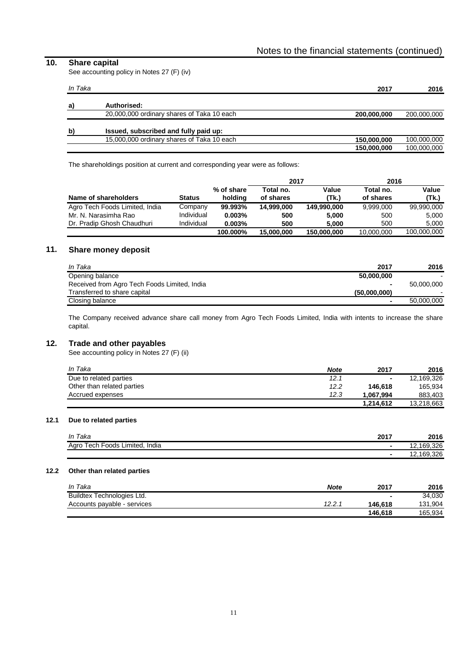# **10. Share capital**

See accounting policy in Notes 27 (F) (iv)

| In Taka      |                                            | 2017        | 2016        |
|--------------|--------------------------------------------|-------------|-------------|
| a)           | Authorised:                                |             |             |
|              | 20,000,000 ordinary shares of Taka 10 each | 200,000,000 | 200,000,000 |
| $\mathbf{b}$ | Issued, subscribed and fully paid up:      |             |             |
|              | 15,000,000 ordinary shares of Taka 10 each | 150,000,000 | 100,000,000 |
|              |                                            | 150,000,000 | 100,000,000 |

The shareholdings position at current and corresponding year were as follows:

|                                |               |            | 2017       |             | 2016       |             |
|--------------------------------|---------------|------------|------------|-------------|------------|-------------|
|                                |               | % of share | Total no.  | Value       | Total no.  | Value       |
| Name of shareholders           | <b>Status</b> | holding    | of shares  | (Tk.)       | of shares  | (Tk.)       |
| Agro Tech Foods Limited, India | Company       | 99.993%    | 14.999.000 | 149.990.000 | 9.999.000  | 99.990.000  |
| Mr. N. Narasimha Rao           | Individual    | 0.003%     | 500        | 5.000       | 500        | 5,000       |
| Dr. Pradip Ghosh Chaudhuri     | Individual    | 0.003%     | 500        | 5.000       | 500        | 5.000       |
|                                |               | 100.000%   | 15.000.000 | 150,000,000 | 10.000.000 | 100,000,000 |

# **11. Share money deposit**

| In Taka                                      | 2017           | 2016       |
|----------------------------------------------|----------------|------------|
| Opening balance                              | 50.000.000     |            |
| Received from Agro Tech Foods Limited, India | $\blacksquare$ | 50.000.000 |
| Transferred to share capital                 | (50.000.000)   |            |
| Closing balance                              | $\sim$         | 50.000.000 |

The Company received advance share call money from Agro Tech Foods Limited, India with intents to increase the share capital.

## **12. Trade and other payables**

See accounting policy in Notes 27 (F) (ii)

| In Taka                    | <b>Note</b> | 2017      | 2016       |
|----------------------------|-------------|-----------|------------|
| Due to related parties     | 12.1        | $\sim$    | 12.169.326 |
| Other than related parties | 12.2        | 146.618   | 165.934    |
| Accrued expenses           | 12.3        | 1.067.994 | 883.403    |
|                            |             | 1,214,612 | 13,218,663 |

#### **12.1 Due to related parties**

| In Taka                             | 2017 | 2016        |
|-------------------------------------|------|-------------|
| Tech Foods Limited, India<br>Agro T | ٠    | .326<br>169 |
|                                     | ۰    | .2,169,326  |

#### **12.2 Other than related parties**

| In Taka                     | <b>Note</b> | 2017                     | 2016    |
|-----------------------------|-------------|--------------------------|---------|
| Buildtex Technologies Ltd.  |             | $\overline{\phantom{a}}$ | 34.030  |
| Accounts payable - services | 12.2.       | 146.618                  | 131,904 |
|                             |             | 146.618                  | 165.934 |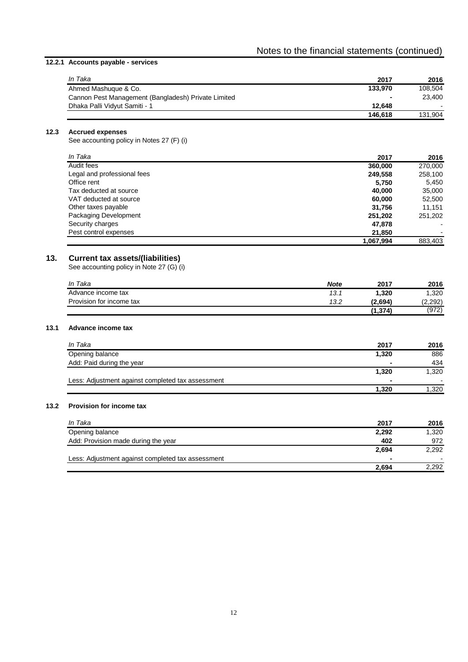# **12.2.1 Accounts payable - services**

| In Taka                                             | 2017           | 2016    |
|-----------------------------------------------------|----------------|---------|
| Ahmed Mashuque & Co.                                | 133.970        | 108.504 |
| Cannon Pest Management (Bangladesh) Private Limited | $\blacksquare$ | 23.400  |
| Dhaka Palli Vidvut Samiti - 1                       | 12.648         | $\sim$  |
|                                                     | 146.618        | 131.904 |

#### **12.3 Accrued expenses**

See accounting policy in Notes 27 (F) (i)

| In Taka                     | 2017      | 2016                     |
|-----------------------------|-----------|--------------------------|
| Audit fees                  | 360,000   | 270,000                  |
| Legal and professional fees | 249,558   | 258,100                  |
| Office rent                 | 5,750     | 5,450                    |
| Tax deducted at source      | 40.000    | 35,000                   |
| VAT deducted at source      | 60,000    | 52,500                   |
| Other taxes payable         | 31,756    | 11,151                   |
| Packaging Development       | 251,202   | 251.202                  |
| Security charges            | 47,878    | ٠                        |
| Pest control expenses       | 21,850    | $\overline{\phantom{0}}$ |
|                             | 1,067,994 | 883,403                  |

# **13. Current tax assets/(liabilities)**

See accounting policy in Note 27 (G) (i)

| In Taka                  | <b>Note</b> | 2017     | 2016    |
|--------------------------|-------------|----------|---------|
| Advance income tax       | 13.1        | 1.320    | .320    |
| Provision for income tax | 13.2        | (2.694)  | (2,292) |
|                          |             | (1, 374) | (972)   |

#### **13.1 Advance income tax**

| In Taka                                           | 2017      | 2016   |
|---------------------------------------------------|-----------|--------|
| Opening balance                                   | 1,320     | 886    |
| Add: Paid during the year                         |           | 434    |
|                                                   | 1,320     | 1,320  |
| Less: Adjustment against completed tax assessment | <b>м.</b> | $\sim$ |
|                                                   | 1.320     | 1,320  |

### **13.2 Provision for income tax**

| In Taka                                           | 2017           | 2016  |
|---------------------------------------------------|----------------|-------|
| Opening balance                                   | 2,292          | 1,320 |
| Add: Provision made during the year               | 402            | 972   |
|                                                   | 2,694          | 2,292 |
| Less: Adjustment against completed tax assessment | $\blacksquare$ |       |
|                                                   | 2.694          | 2,292 |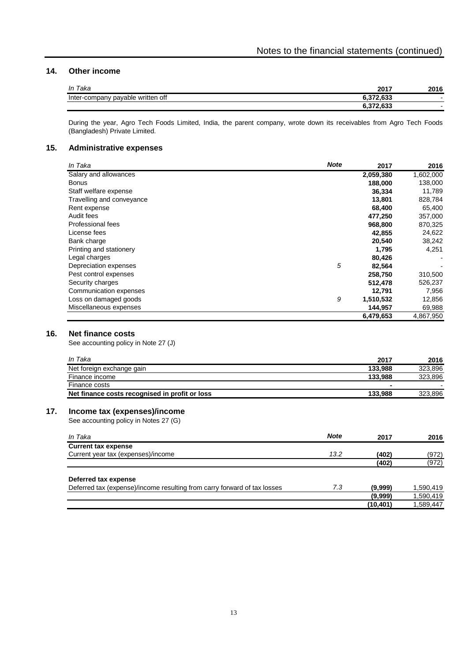# **14. Other income**

| In Taka                              | 2017                      | 2016   |
|--------------------------------------|---------------------------|--------|
| payable written off<br>Inter-company | 272.02<br>. 000<br>       | $\sim$ |
|                                      | 270.022<br>.v.<br><b></b> | $\sim$ |

During the year, Agro Tech Foods Limited, India, the parent company, wrote down its receivables from Agro Tech Foods (Bangladesh) Private Limited.

#### **15. Administrative expenses**

| In Taka                   | <b>Note</b> | 2017      | 2016      |
|---------------------------|-------------|-----------|-----------|
| Salary and allowances     |             | 2,059,380 | 1,602,000 |
| <b>Bonus</b>              |             | 188,000   | 138,000   |
| Staff welfare expense     |             | 36,334    | 11,789    |
| Travelling and conveyance |             | 13,801    | 828,784   |
| Rent expense              |             | 68,400    | 65,400    |
| Audit fees                |             | 477,250   | 357,000   |
| Professional fees         |             | 968,800   | 870,325   |
| License fees              |             | 42,855    | 24,622    |
| Bank charge               |             | 20,540    | 38,242    |
| Printing and stationery   |             | 1,795     | 4,251     |
| Legal charges             |             | 80,426    |           |
| Depreciation expenses     | 5           | 82,564    |           |
| Pest control expenses     |             | 258,750   | 310,500   |
| Security charges          |             | 512,478   | 526,237   |
| Communication expenses    |             | 12,791    | 7,956     |
| Loss on damaged goods     | 9           | 1,510,532 | 12,856    |
| Miscellaneous expenses    |             | 144,957   | 69,988    |
|                           |             | 6,479,653 | 4,867,950 |

# **16. Net finance costs**

See accounting policy in Note 27 (J)

| In Taka                                        | 2017    | 2016    |
|------------------------------------------------|---------|---------|
| Net foreign exchange gain                      | 133.988 | 323.896 |
| Finance income                                 | 133.988 | 323.896 |
| Finance costs                                  |         |         |
| Net finance costs recognised in profit or loss | 133.988 | 323.896 |

# **17. Income tax (expenses)/income**

See accounting policy in Notes 27 (G)

| In Taka                                                                  | <b>Note</b> | 2017      | 2016      |
|--------------------------------------------------------------------------|-------------|-----------|-----------|
| <b>Current tax expense</b>                                               |             |           |           |
| Current year tax (expenses)/income                                       | 13.2        | (402)     | (972)     |
|                                                                          |             | (402)     | (972)     |
| Deferred tax expense                                                     |             |           |           |
| Deferred tax (expense)/income resulting from carry forward of tax losses | 7.3         | (9,999)   | 1,590,419 |
|                                                                          |             | (9,999)   | 1,590,419 |
|                                                                          |             | (10, 401) | 1,589,447 |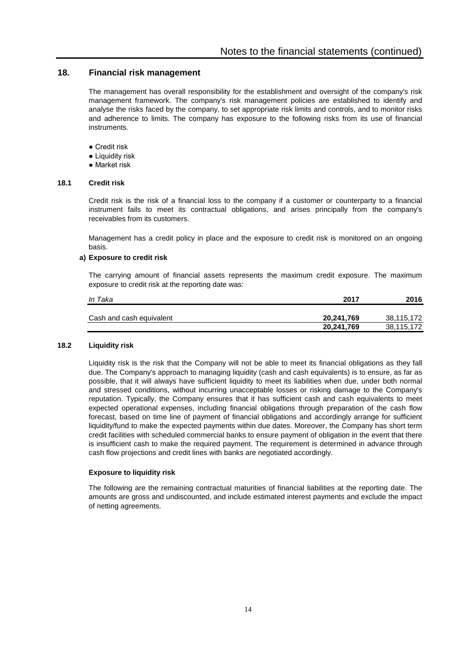# **18. Financial risk management**

The management has overall responsibility for the establishment and oversight of the company's risk management framework. The company's risk management policies are established to identify and analyse the risks faced by the company, to set appropriate risk limits and controls, and to monitor risks and adherence to limits. The company has exposure to the following risks from its use of financial inetrumente

- Credit risk
- Liquidity risk
- Market risk

#### **18.1 Credit risk**

Credit risk is the risk of a financial loss to the company if a customer or counterparty to a financial instrument fails to meet its contractual obligations, and arises principally from the company's receivables from its customers.

Management has a credit policy in place and the exposure to credit risk is monitored on an ongoing basis.

#### **a) Exposure to credit risk**

The carrying amount of financial assets represents the maximum credit exposure. The maximum exposure to credit risk at the reporting date was:

| In Taka                  | 2017       | 2016       |
|--------------------------|------------|------------|
| Cash and cash equivalent | 20,241,769 | 38,115,172 |
|                          | 20,241,769 | 38,115,172 |

#### **18.2 Liquidity risk**

Liquidity risk is the risk that the Company will not be able to meet its financial obligations as they fall due. The Company's approach to managing liquidity (cash and cash equivalents) is to ensure, as far as possible, that it will always have sufficient liquidity to meet its liabilities when due, under both normal and stressed conditions, without incurring unacceptable losses or risking damage to the Company's reputation. Typically, the Company ensures that it has sufficient cash and cash equivalents to meet expected operational expenses, including financial obligations through preparation of the cash flow forecast, based on time line of payment of financial obligations and accordingly arrange for sufficient liquidity/fund to make the expected payments within due dates. Moreover, the Company has short term credit facilities with scheduled commercial banks to ensure payment of obligation in the event that there is insufficient cash to make the required payment. The requirement is determined in advance through cash flow projections and credit lines with banks are negotiated accordingly.

#### **Exposure to liquidity risk**

The following are the remaining contractual maturities of financial liabilities at the reporting date. The amounts are gross and undiscounted, and include estimated interest payments and exclude the impact of netting agreements.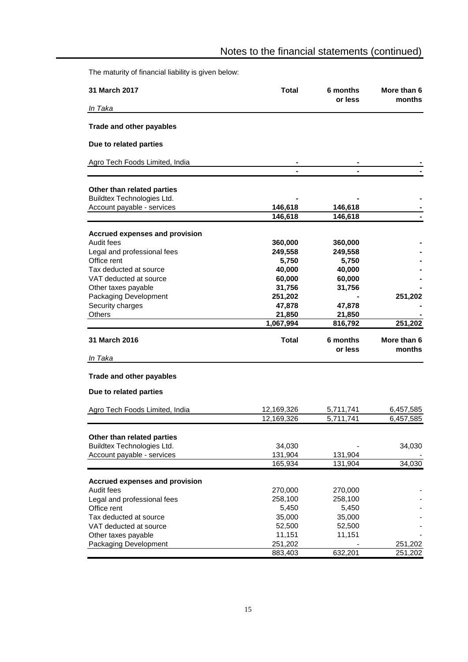The maturity of financial liability is given below:

| <b>31 March 2017</b>                             | Total            | 6 months<br>or less | More than 6<br>months |
|--------------------------------------------------|------------------|---------------------|-----------------------|
| In Taka                                          |                  |                     |                       |
| <b>Trade and other payables</b>                  |                  |                     |                       |
| Due to related parties                           |                  |                     |                       |
| Agro Tech Foods Limited, India                   |                  |                     |                       |
|                                                  |                  |                     |                       |
| Other than related parties                       |                  |                     |                       |
| Buildtex Technologies Ltd.                       |                  |                     |                       |
| Account payable - services                       | 146,618          | 146,618             |                       |
|                                                  | 146,618          | 146,618             |                       |
| <b>Accrued expenses and provision</b>            |                  |                     |                       |
| Audit fees                                       | 360,000          | 360,000             |                       |
| Legal and professional fees                      | 249,558          | 249,558             |                       |
| Office rent                                      | 5,750            | 5,750               |                       |
| Tax deducted at source                           | 40,000           | 40,000              |                       |
| VAT deducted at source                           | 60,000           | 60,000              |                       |
| Other taxes payable                              | 31,756           | 31,756              |                       |
| Packaging Development                            | 251,202          |                     | 251,202               |
| Security charges                                 | 47,878           | 47,878              |                       |
| Others                                           | 21,850           | 21,850              |                       |
|                                                  | 1,067,994        | 816,792             | 251,202               |
| 31 March 2016                                    | Total            | 6 months            | More than 6           |
|                                                  |                  | or less             | months                |
| In Taka                                          |                  |                     |                       |
| Trade and other payables                         |                  |                     |                       |
| Due to related parties                           |                  |                     |                       |
| Agro Tech Foods Limited, India                   | 12,169,326       | 5,711,741           | 6,457,585             |
|                                                  | 12,169,326       | 5,711,741           | 6,457,585             |
| Other than related parties                       |                  |                     |                       |
| Buildtex Technologies Ltd.                       | 34,030           |                     | 34,030                |
| Account payable - services                       | 131,904          | 131,904             |                       |
|                                                  | 165,934          | 131,904             | 34,030                |
|                                                  |                  |                     |                       |
| <b>Accrued expenses and provision</b>            |                  |                     |                       |
| Audit fees                                       | 270,000          | 270,000             |                       |
| Legal and professional fees                      | 258,100          | 258,100             |                       |
| Office rent                                      | 5,450            | 5,450               |                       |
| Tax deducted at source<br>VAT deducted at source | 35,000           | 35,000              |                       |
| Other taxes payable                              | 52,500<br>11,151 | 52,500              |                       |
| Packaging Development                            | 251,202          | 11,151              | 251,202               |
|                                                  | 883,403          | 632,201             | 251,202               |
|                                                  |                  |                     |                       |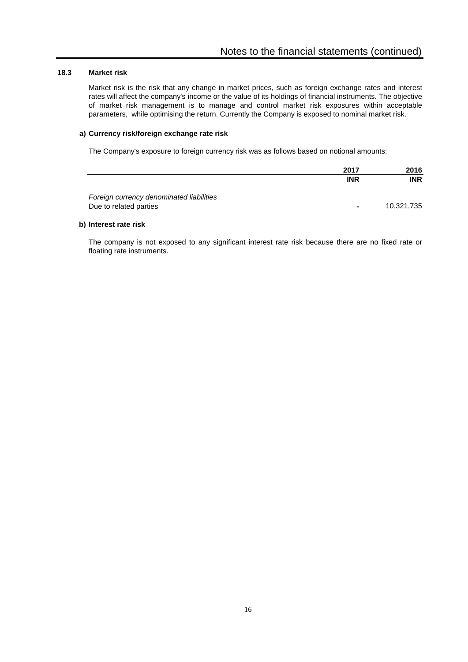#### **18.3 Market risk**

Market risk is the risk that any change in market prices, such as foreign exchange rates and interest rates will affect the company's income or the value of its holdings of financial instruments. The objective of market risk management is to manage and control market risk exposures within acceptable parameters, while optimising the return. Currently the Company is exposed to nominal market risk.

#### **a) Currency risk/foreign exchange rate risk**

The Company's exposure to foreign currency risk was as follows based on notional amounts:

|                                                                    | 2017       | 2016       |
|--------------------------------------------------------------------|------------|------------|
|                                                                    | <b>INR</b> | <b>INR</b> |
| Foreign currency denominated liabilities<br>Due to related parties | ٠          | 10,321,735 |

#### **b) Interest rate risk**

The company is not exposed to any significant interest rate risk because there are no fixed rate or floating rate instruments.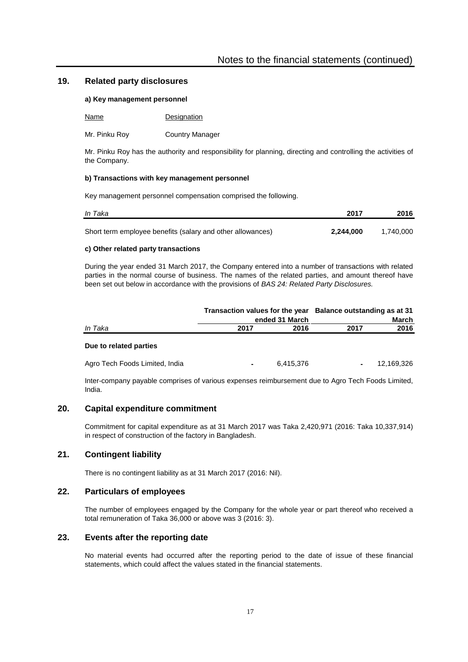# **19. Related party disclosures**

#### **a) Key management personnel**

| Name | Designation |
|------|-------------|
|------|-------------|

Mr. Pinku Roy Country Manager

Mr. Pinku Roy has the authority and responsibility for planning, directing and controlling the activities of the Company.

#### **b) Transactions with key management personnel**

Key management personnel compensation comprised the following.

| In Taka                                                    | 2017      | 2016      |
|------------------------------------------------------------|-----------|-----------|
| Short term employee benefits (salary and other allowances) | 2.244.000 | 1.740.000 |

#### **c) Other related party transactions**

During the year ended 31 March 2017, the Company entered into a number of transactions with related parties in the normal course of business. The names of the related parties, and amount thereof have been set out below in accordance with the provisions of *BAS 24: Related Party Disclosures.*

|                                | Transaction values for the year Balance outstanding as at 31<br>ended 31 March                   | March                        |  |
|--------------------------------|--------------------------------------------------------------------------------------------------|------------------------------|--|
| In Taka                        | 2017<br>2016                                                                                     | 2016<br>2017                 |  |
| Due to related parties         |                                                                                                  |                              |  |
| Agro Tech Foods Limited, India | 6.415.376<br>۰                                                                                   | 12.169.326<br>$\blacksquare$ |  |
|                                | Inter company povoble comprises of various expenses reimburgement due to Agre Teeb Esede Limited |                              |  |

Inter-company payable comprises of various expenses reimbursement due to Agro Tech Foods Limited, India.

# **20. Capital expenditure commitment**

Commitment for capital expenditure as at 31 March 2017 was Taka 2,420,971 (2016: Taka 10,337,914) in respect of construction of the factory in Bangladesh.

# **21. Contingent liability**

There is no contingent liability as at 31 March 2017 (2016: Nil).

# **22. Particulars of employees**

The number of employees engaged by the Company for the whole year or part thereof who received a total remuneration of Taka 36,000 or above was 3 (2016: 3).

# **23. Events after the reporting date**

No material events had occurred after the reporting period to the date of issue of these financial statements, which could affect the values stated in the financial statements.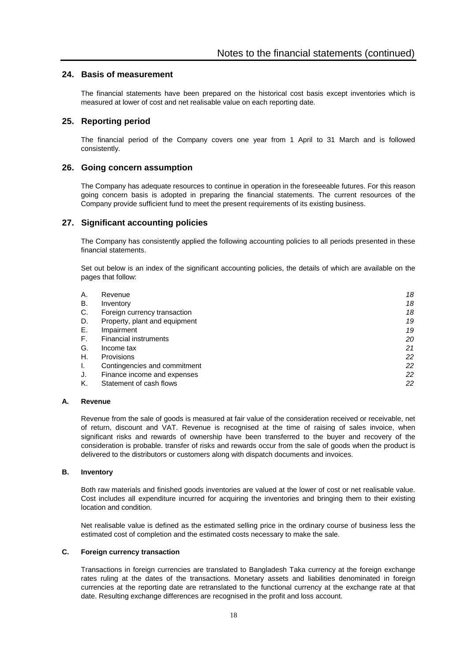# **24. Basis of measurement**

The financial statements have been prepared on the historical cost basis except inventories which is measured at lower of cost and net realisable value on each reporting date.

# **25. Reporting period**

The financial period of the Company covers one year from 1 April to 31 March and is followed consistently.

## **26. Going concern assumption**

The Company has adequate resources to continue in operation in the foreseeable futures. For this reason going concern basis is adopted in preparing the financial statements. The current resources of the Company provide sufficient fund to meet the present requirements of its existing business.

# **27. Significant accounting policies**

The Company has consistently applied the following accounting policies to all periods presented in these financial statements.

Set out below is an index of the significant accounting policies, the details of which are available on the pages that follow:

| Α. | Revenue                       | 18 |
|----|-------------------------------|----|
| В. | Inventory                     | 18 |
| C. | Foreign currency transaction  | 18 |
| D. | Property, plant and equipment | 19 |
| Е. | Impairment                    | 19 |
| F. | <b>Financial instruments</b>  | 20 |
| G. | Income tax                    | 21 |
| Η. | Provisions                    | 22 |
| L. | Contingencies and commitment  | 22 |
| J. | Finance income and expenses   | 22 |
| Κ. | Statement of cash flows       | 22 |

# **A. Revenue**

Revenue from the sale of goods is measured at fair value of the consideration received or receivable, net of return, discount and VAT. Revenue is recognised at the time of raising of sales invoice, when significant risks and rewards of ownership have been transferred to the buyer and recovery of the consideration is probable. transfer of risks and rewards occur from the sale of goods when the product is delivered to the distributors or customers along with dispatch documents and invoices.

### **B. Inventory**

Both raw materials and finished goods inventories are valued at the lower of cost or net realisable value. Cost includes all expenditure incurred for acquiring the inventories and bringing them to their existing location and condition.

Net realisable value is defined as the estimated selling price in the ordinary course of business less the estimated cost of completion and the estimated costs necessary to make the sale.

### **C. Foreign currency transaction**

Transactions in foreign currencies are translated to Bangladesh Taka currency at the foreign exchange rates ruling at the dates of the transactions. Monetary assets and liabilities denominated in foreign currencies at the reporting date are retranslated to the functional currency at the exchange rate at that date. Resulting exchange differences are recognised in the profit and loss account.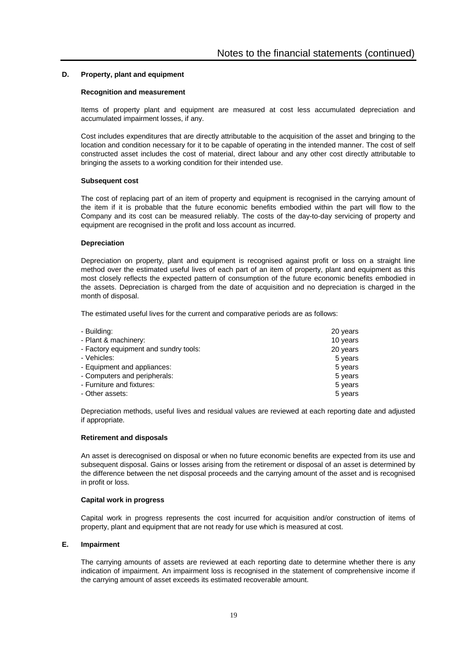#### **D. Property, plant and equipment**

#### **Recognition and measurement**

Items of property plant and equipment are measured at cost less accumulated depreciation and accumulated impairment losses, if any.

Cost includes expenditures that are directly attributable to the acquisition of the asset and bringing to the location and condition necessary for it to be capable of operating in the intended manner. The cost of self constructed asset includes the cost of material, direct labour and any other cost directly attributable to bringing the assets to a working condition for their intended use.

#### **Subsequent cost**

The cost of replacing part of an item of property and equipment is recognised in the carrying amount of the item if it is probable that the future economic benefits embodied within the part will flow to the Company and its cost can be measured reliably. The costs of the day-to-day servicing of property and equipment are recognised in the profit and loss account as incurred.

#### **Depreciation**

Depreciation on property, plant and equipment is recognised against profit or loss on a straight line method over the estimated useful lives of each part of an item of property, plant and equipment as this most closely reflects the expected pattern of consumption of the future economic benefits embodied in the assets. Depreciation is charged from the date of acquisition and no depreciation is charged in the month of disposal.

The estimated useful lives for the current and comparative periods are as follows:

| - Building:                           | 20 years |
|---------------------------------------|----------|
| - Plant & machinery:                  | 10 years |
| - Factory equipment and sundry tools: | 20 years |
| - Vehicles:                           | 5 years  |
| - Equipment and appliances:           | 5 years  |
| - Computers and peripherals:          | 5 years  |
| - Furniture and fixtures:             | 5 years  |
| - Other assets:                       | 5 years  |

Depreciation methods, useful lives and residual values are reviewed at each reporting date and adjusted if appropriate.

#### **Retirement and disposals**

An asset is derecognised on disposal or when no future economic benefits are expected from its use and subsequent disposal. Gains or losses arising from the retirement or disposal of an asset is determined by the difference between the net disposal proceeds and the carrying amount of the asset and is recognised in profit or loss.

#### **Capital work in progress**

Capital work in progress represents the cost incurred for acquisition and/or construction of items of property, plant and equipment that are not ready for use which is measured at cost.

#### **E. Impairment**

The carrying amounts of assets are reviewed at each reporting date to determine whether there is any indication of impairment. An impairment loss is recognised in the statement of comprehensive income if the carrying amount of asset exceeds its estimated recoverable amount.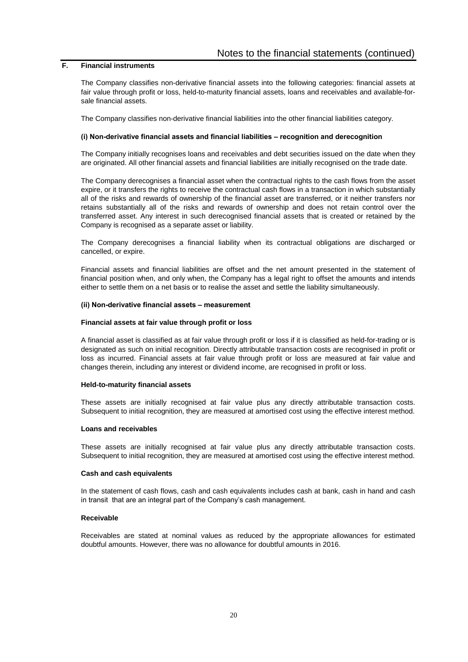# **F. Financial instruments**

The Company classifies non-derivative financial assets into the following categories: financial assets at fair value through profit or loss, held-to-maturity financial assets, loans and receivables and available-forsale financial assets.

The Company classifies non-derivative financial liabilities into the other financial liabilities category.

#### **(i) Non-derivative financial assets and financial liabilities – recognition and derecognition**

The Company initially recognises loans and receivables and debt securities issued on the date when they are originated. All other financial assets and financial liabilities are initially recognised on the trade date.

The Company derecognises a financial asset when the contractual rights to the cash flows from the asset expire, or it transfers the rights to receive the contractual cash flows in a transaction in which substantially all of the risks and rewards of ownership of the financial asset are transferred, or it neither transfers nor retains substantially all of the risks and rewards of ownership and does not retain control over the transferred asset. Any interest in such derecognised financial assets that is created or retained by the Company is recognised as a separate asset or liability.

The Company derecognises a financial liability when its contractual obligations are discharged or cancelled, or expire.

Financial assets and financial liabilities are offset and the net amount presented in the statement of financial position when, and only when, the Company has a legal right to offset the amounts and intends either to settle them on a net basis or to realise the asset and settle the liability simultaneously.

#### **(ii) Non-derivative financial assets – measurement**

#### **Financial assets at fair value through profit or loss**

A financial asset is classified as at fair value through profit or loss if it is classified as held-for-trading or is designated as such on initial recognition. Directly attributable transaction costs are recognised in profit or loss as incurred. Financial assets at fair value through profit or loss are measured at fair value and changes therein, including any interest or dividend income, are recognised in profit or loss.

#### **Held-to-maturity financial assets**

These assets are initially recognised at fair value plus any directly attributable transaction costs. Subsequent to initial recognition, they are measured at amortised cost using the effective interest method.

#### **Loans and receivables**

These assets are initially recognised at fair value plus any directly attributable transaction costs. Subsequent to initial recognition, they are measured at amortised cost using the effective interest method.

#### **Cash and cash equivalents**

In the statement of cash flows, cash and cash equivalents includes cash at bank, cash in hand and cash in transit that are an integral part of the Company's cash management.

#### **Receivable**

Receivables are stated at nominal values as reduced by the appropriate allowances for estimated doubtful amounts. However, there was no allowance for doubtful amounts in 2016.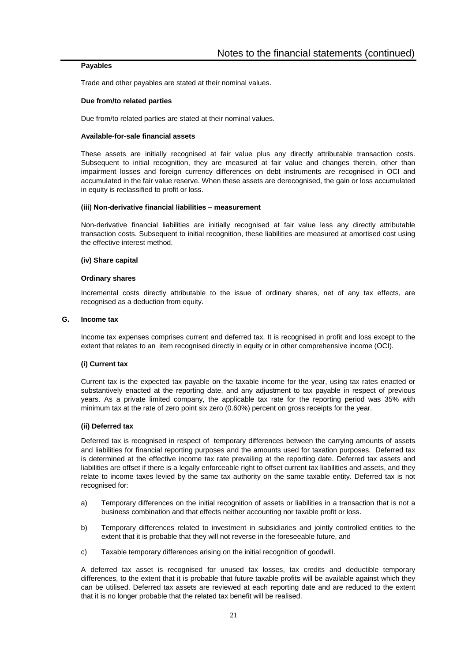#### **Payables**

Trade and other payables are stated at their nominal values.

#### **Due from/to related parties**

Due from/to related parties are stated at their nominal values.

#### **Available-for-sale financial assets**

These assets are initially recognised at fair value plus any directly attributable transaction costs. Subsequent to initial recognition, they are measured at fair value and changes therein, other than impairment losses and foreign currency differences on debt instruments are recognised in OCI and accumulated in the fair value reserve. When these assets are derecognised, the gain or loss accumulated in equity is reclassified to profit or loss.

#### **(iii) Non-derivative financial liabilities – measurement**

Non-derivative financial liabilities are initially recognised at fair value less any directly attributable transaction costs. Subsequent to initial recognition, these liabilities are measured at amortised cost using the effective interest method.

#### **(iv) Share capital**

#### **Ordinary shares**

Incremental costs directly attributable to the issue of ordinary shares, net of any tax effects, are recognised as a deduction from equity.

#### **G. Income tax**

Income tax expenses comprises current and deferred tax. It is recognised in profit and loss except to the extent that relates to an item recognised directly in equity or in other comprehensive income (OCI).

### **(i) Current tax**

Current tax is the expected tax payable on the taxable income for the year, using tax rates enacted or substantively enacted at the reporting date, and any adjustment to tax payable in respect of previous years. As a private limited company, the applicable tax rate for the reporting period was 35% with minimum tax at the rate of zero point six zero (0.60%) percent on gross receipts for the year.

#### **(ii) Deferred tax**

Deferred tax is recognised in respect of temporary differences between the carrying amounts of assets and liabilities for financial reporting purposes and the amounts used for taxation purposes. Deferred tax is determined at the effective income tax rate prevailing at the reporting date. Deferred tax assets and liabilities are offset if there is a legally enforceable right to offset current tax liabilities and assets, and they relate to income taxes levied by the same tax authority on the same taxable entity. Deferred tax is not recognised for:

- a) Temporary differences on the initial recognition of assets or liabilities in a transaction that is not a business combination and that effects neither accounting nor taxable profit or loss.
- b) Temporary differences related to investment in subsidiaries and jointly controlled entities to the extent that it is probable that they will not reverse in the foreseeable future, and
- c) Taxable temporary differences arising on the initial recognition of goodwill.

A deferred tax asset is recognised for unused tax losses, tax credits and deductible temporary differences, to the extent that it is probable that future taxable profits will be available against which they can be utilised. Deferred tax assets are reviewed at each reporting date and are reduced to the extent that it is no longer probable that the related tax benefit will be realised.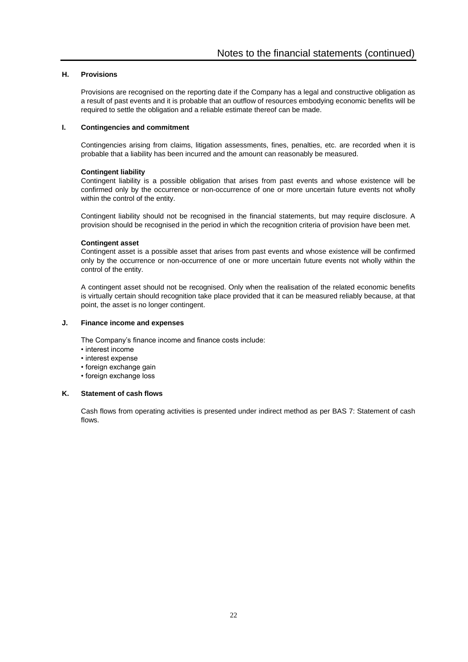# **H. Provisions**

Provisions are recognised on the reporting date if the Company has a legal and constructive obligation as a result of past events and it is probable that an outflow of resources embodying economic benefits will be required to settle the obligation and a reliable estimate thereof can be made.

#### **I. Contingencies and commitment**

Contingencies arising from claims, litigation assessments, fines, penalties, etc. are recorded when it is probable that a liability has been incurred and the amount can reasonably be measured.

#### **Contingent liability**

Contingent liability is a possible obligation that arises from past events and whose existence will be confirmed only by the occurrence or non-occurrence of one or more uncertain future events not wholly within the control of the entity.

Contingent liability should not be recognised in the financial statements, but may require disclosure. A provision should be recognised in the period in which the recognition criteria of provision have been met.

#### **Contingent asset**

Contingent asset is a possible asset that arises from past events and whose existence will be confirmed only by the occurrence or non-occurrence of one or more uncertain future events not wholly within the control of the entity.

A contingent asset should not be recognised. Only when the realisation of the related economic benefits is virtually certain should recognition take place provided that it can be measured reliably because, at that point, the asset is no longer contingent.

#### **J. Finance income and expenses**

The Company's finance income and finance costs include:

- interest income
- interest expense
- foreign exchange gain
- foreign exchange loss

## **K. Statement of cash flows**

Cash flows from operating activities is presented under indirect method as per BAS 7: Statement of cash flows.